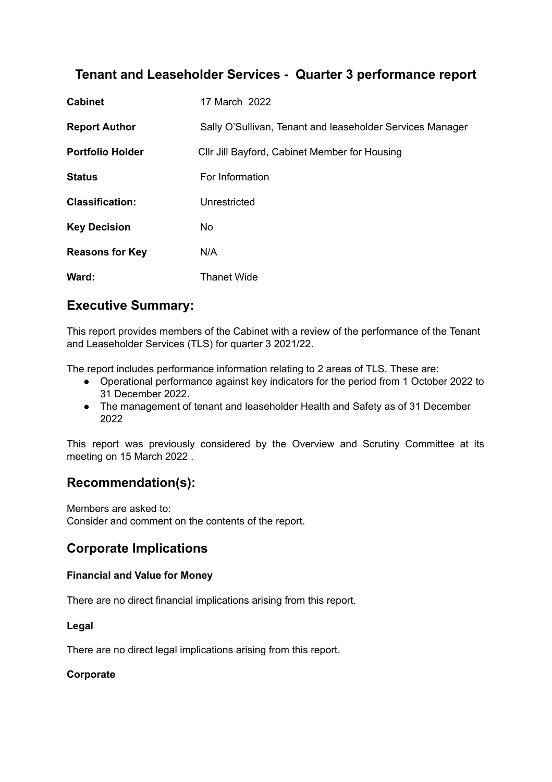# **Tenant and Leaseholder Services - Quarter 3 performance report**

| <b>Cabinet</b>          | 17 March 2022                                             |
|-------------------------|-----------------------------------------------------------|
| <b>Report Author</b>    | Sally O'Sullivan, Tenant and leaseholder Services Manager |
| <b>Portfolio Holder</b> | CIIr Jill Bayford, Cabinet Member for Housing             |
| <b>Status</b>           | For Information                                           |
| <b>Classification:</b>  | Unrestricted                                              |
| <b>Key Decision</b>     | No.                                                       |
| <b>Reasons for Key</b>  | N/A                                                       |
| Ward:                   | <b>Thanet Wide</b>                                        |

## **Executive Summary:**

This report provides members of the Cabinet with a review of the performance of the Tenant and Leaseholder Services (TLS) for quarter 3 2021/22.

The report includes performance information relating to 2 areas of TLS. These are:

- Operational performance against key indicators for the period from 1 October 2022 to 31 December 2022.
- The management of tenant and leaseholder Health and Safety as of 31 December 2022

This report was previously considered by the Overview and Scrutiny Committee at its meeting on 15 March 2022 .

# **Recommendation(s):**

Members are asked to: Consider and comment on the contents of the report.

# **Corporate Implications**

### **Financial and Value for Money**

There are no direct financial implications arising from this report.

#### **Legal**

There are no direct legal implications arising from this report.

### **Corporate**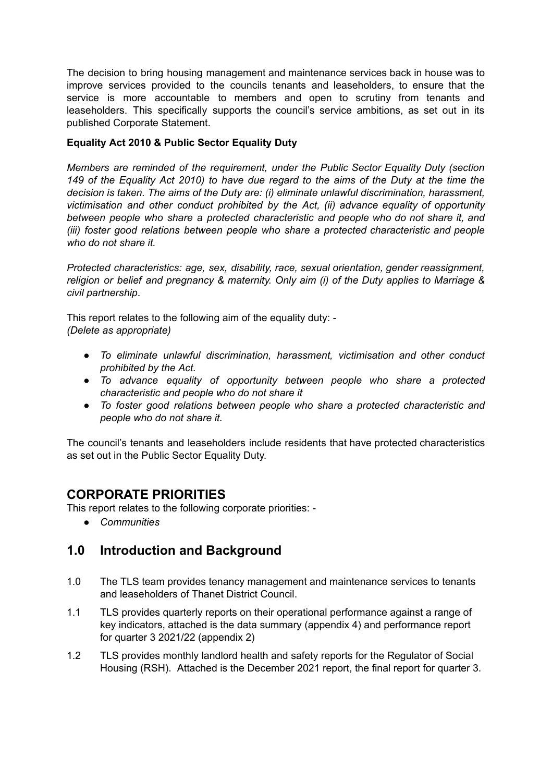The decision to bring housing management and maintenance services back in house was to improve services provided to the councils tenants and leaseholders, to ensure that the service is more accountable to members and open to scrutiny from tenants and leaseholders. This specifically supports the council's service ambitions, as set out in its published Corporate Statement.

### **Equality Act 2010 & Public Sector Equality Duty**

*Members are reminded of the requirement, under the Public Sector Equality Duty (section* 149 of the Equality Act 2010) to have due regard to the aims of the Duty at the time the *decision is taken. The aims of the Duty are: (i) eliminate unlawful discrimination, harassment, victimisation and other conduct prohibited by the Act, (ii) advance equality of opportunity between people who share a protected characteristic and people who do not share it, and (iii) foster good relations between people who share a protected characteristic and people who do not share it.*

*Protected characteristics: age, sex, disability, race, sexual orientation, gender reassignment, religion or belief and pregnancy & maternity. Only aim (i) of the Duty applies to Marriage & civil partnership*.

This report relates to the following aim of the equality duty: - *(Delete as appropriate)*

- *● To eliminate unlawful discrimination, harassment, victimisation and other conduct prohibited by the Act.*
- *● To advance equality of opportunity between people who share a protected characteristic and people who do not share it*
- *● To foster good relations between people who share a protected characteristic and people who do not share it.*

The council's tenants and leaseholders include residents that have protected characteristics as set out in the Public Sector Equality Duty.

## **CORPORATE PRIORITIES**

This report relates to the following corporate priorities: -

*● Communities*

## **1.0 Introduction and Background**

- 1.0 The TLS team provides tenancy management and maintenance services to tenants and leaseholders of Thanet District Council.
- 1.1 TLS provides quarterly reports on their operational performance against a range of key indicators, attached is the data summary (appendix 4) and performance report for quarter 3 2021/22 (appendix 2)
- 1.2 TLS provides monthly landlord health and safety reports for the Regulator of Social Housing (RSH). Attached is the December 2021 report, the final report for quarter 3.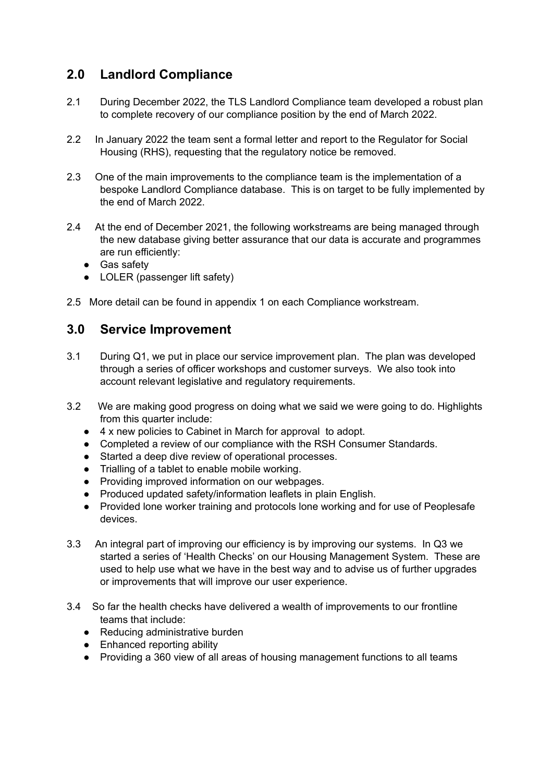# **2.0 Landlord Compliance**

- 2.1 During December 2022, the TLS Landlord Compliance team developed a robust plan to complete recovery of our compliance position by the end of March 2022.
- 2.2 In January 2022 the team sent a formal letter and report to the Regulator for Social Housing (RHS), requesting that the regulatory notice be removed.
- 2.3 One of the main improvements to the compliance team is the implementation of a bespoke Landlord Compliance database. This is on target to be fully implemented by the end of March 2022.
- 2.4 At the end of December 2021, the following workstreams are being managed through the new database giving better assurance that our data is accurate and programmes are run efficiently:
	- Gas safety
	- LOLER (passenger lift safety)
- 2.5 More detail can be found in appendix 1 on each Compliance workstream.

## **3.0 Service Improvement**

- 3.1 During Q1, we put in place our service improvement plan. The plan was developed through a series of officer workshops and customer surveys. We also took into account relevant legislative and regulatory requirements.
- 3.2 We are making good progress on doing what we said we were going to do. Highlights from this quarter include:
	- 4 x new policies to Cabinet in March for approval to adopt.
	- Completed a review of our compliance with the RSH Consumer Standards.
	- Started a deep dive review of operational processes.
	- Trialling of a tablet to enable mobile working.
	- Providing improved information on our webpages.
	- Produced updated safety/information leaflets in plain English.
	- Provided lone worker training and protocols lone working and for use of Peoplesafe devices.
- 3.3 An integral part of improving our efficiency is by improving our systems. In Q3 we started a series of 'Health Checks' on our Housing Management System. These are used to help use what we have in the best way and to advise us of further upgrades or improvements that will improve our user experience.
- 3.4 So far the health checks have delivered a wealth of improvements to our frontline teams that include:
	- Reducing administrative burden
	- Enhanced reporting ability
	- Providing a 360 view of all areas of housing management functions to all teams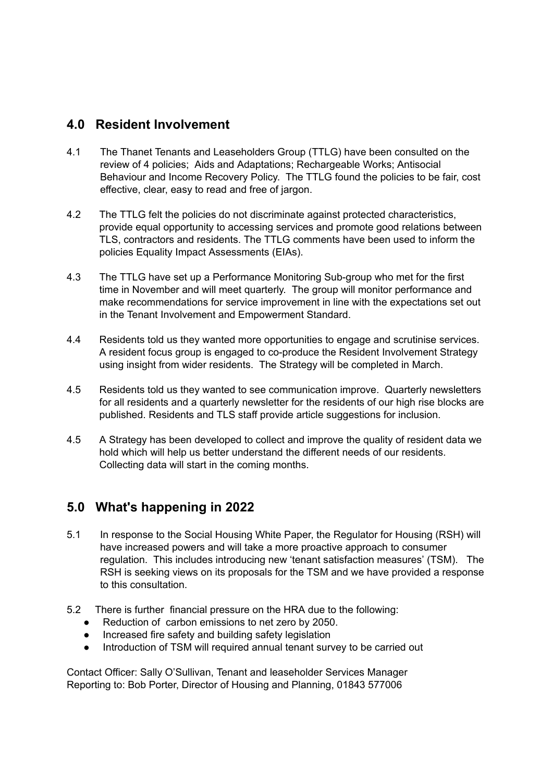## **4.0 Resident Involvement**

- 4.1 The Thanet Tenants and Leaseholders Group (TTLG) have been consulted on the review of 4 policies; Aids and Adaptations; Rechargeable Works; Antisocial Behaviour and Income Recovery Policy. The TTLG found the policies to be fair, cost effective, clear, easy to read and free of jargon.
- 4.2 The TTLG felt the policies do not discriminate against protected characteristics, provide equal opportunity to accessing services and promote good relations between TLS, contractors and residents. The TTLG comments have been used to inform the policies Equality Impact Assessments (EIAs).
- 4.3 The TTLG have set up a Performance Monitoring Sub-group who met for the first time in November and will meet quarterly. The group will monitor performance and make recommendations for service improvement in line with the expectations set out in the Tenant Involvement and Empowerment Standard.
- 4.4 Residents told us they wanted more opportunities to engage and scrutinise services. A resident focus group is engaged to co-produce the Resident Involvement Strategy using insight from wider residents. The Strategy will be completed in March.
- 4.5 Residents told us they wanted to see communication improve. Quarterly newsletters for all residents and a quarterly newsletter for the residents of our high rise blocks are published. Residents and TLS staff provide article suggestions for inclusion.
- 4.5 A Strategy has been developed to collect and improve the quality of resident data we hold which will help us better understand the different needs of our residents. Collecting data will start in the coming months.

# **5.0 What's happening in 2022**

- 5.1 In response to the Social Housing White Paper, the Regulator for Housing (RSH) will have increased powers and will take a more proactive approach to consumer regulation. This includes introducing new 'tenant satisfaction measures' (TSM). The RSH is seeking views on its proposals for the TSM and we have provided a response to this consultation.
- 5.2 There is further financial pressure on the HRA due to the following:
	- Reduction of carbon emissions to net zero by 2050.
	- Increased fire safety and building safety legislation
	- Introduction of TSM will required annual tenant survey to be carried out

Contact Officer: Sally O'Sullivan, Tenant and leaseholder Services Manager Reporting to: Bob Porter, Director of Housing and Planning, 01843 577006